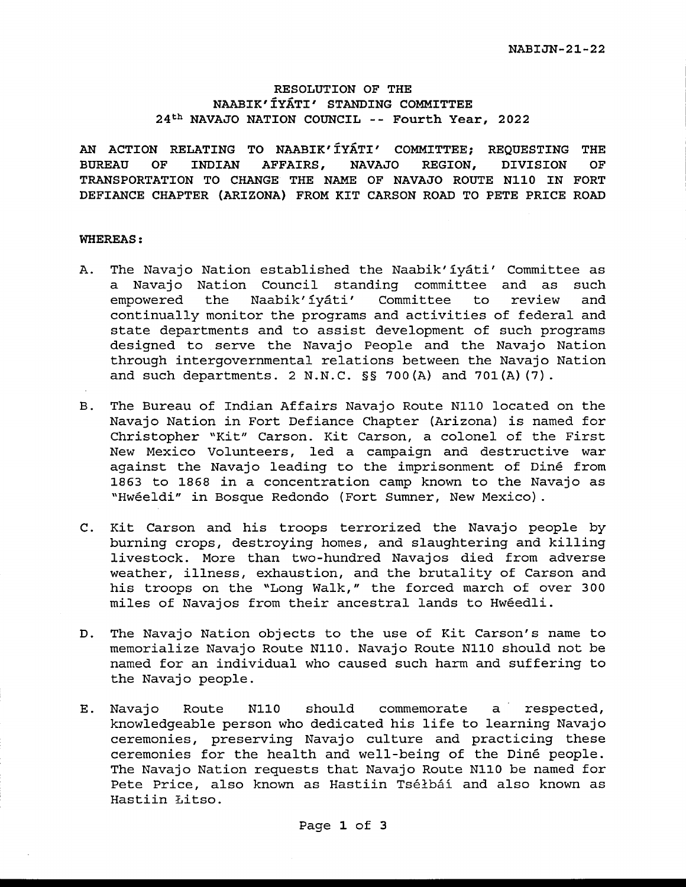#### **RESOLUTION OF THE NAABIK'IYATI' STANDING COMMITTEE 24th NAVAJO NATION COUNCIL** -- **Fourth Year, 2022**

**AN ACTION RELATING TO NAABIK' IYATI' COMMITTEE; REQUESTING THE BUREAU OF INDIAN AFFAIRS, NAVAJO REGION, DIVISION OF TRANSPORTATION TO CHANGE THE NAME OF NAVAJO ROUTE N110 IN FORT DEFIANCE CHAPTER (ARIZONA) FROM KIT CARSON ROAD TO PETE PRICE ROAD** 

#### **WHEREAS:**

- A. The Navajo Nation established the Naabik'iyati' Committee as a Navajo Nation Council standing committee and as such empowered the Naabik'iyati' Committee to review and continually monitor the programs and activities of federal and state departments and to assist development of such programs designed to serve the Navajo People and the Navajo Nation through intergovernmental relations between the Navajo Nation and such departments. 2 N.N.C. §§ 700(A) and 701(A) (7).
- B. The Bureau of Indian Affairs Navajo Route Nll0 located on the Navajo Nation in Fort Defiance Chapter (Arizona) is named for Christopher "Kit" Carson. Kit Carson, a colonel of the First New Mexico Volunteers, led a campaign and destructive war against the Navajo leading to the imprisonment of Dine from 1863 to 1868 in a concentration camp known to the Navajo as "Hweeldi" in Bosque Redondo (Fort Sumner, New Mexico).
- C. Kit Carson and his troops terrorized the Navajo people by burning crops, destroying homes, and slaughtering and killing livestock. More than two-hundred Navajos died from adverse weather, illness, exhaustion, and the brutality of Carson and his troops on the "Long Walk," the forced march of over 300 miles of Navajos from their ancestral lands to Hweedli.
- D. The Navajo Nation objects to the use of Kit Carson's name to memorialize Navajo Route Nll0. Navajo Route Nll0 should not be named for an individual who caused such harm and suffering to the Navajo people.
- E. Navajo Route Nll0 should commemorate a respected, knowledgeable person who dedicated his life to learning Navajo ceremonies, preserving Navajo culture and practicing these ceremonies for the health and well-being of the Diné people. The Navajo Nation requests that Navajo Route N110 be named for Pete Price, also known as Hastiin Tséłbáí and also known as Hastiin Litso.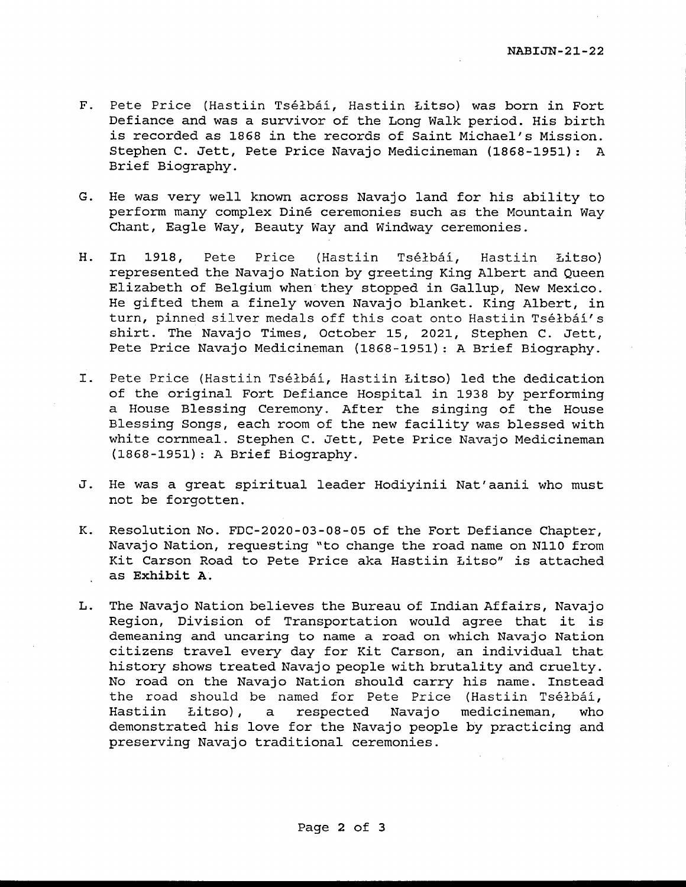- F. Pete Price (Hastiin Tséłbáí, Hastiin Łitso) was born in Fort Defiance and was a survivor of the Long Walk period. His birth is recorded as 1868 in the records of Saint Michael's Mission. Stephen C. Jett, Pete Price Navajo Medicineman (1868-1951): A Brief Biography.
- G. He was very well known across Navajo land for his ability to perform many complex Dine ceremonies such as the Mountain Way Chant, Eagle Way, Beauty Way and Windway ceremonies.
- H. In 1918, Pete Price (Hastiin Tséłbáí, Hastiin Łitso) represented the Navajo Nation by greeting King Albert and Queen Elizabeth of Belgium when they stopped in Gallup, New Mexico. He gifted them a finely woven Navajo blanket. King Albert, in turn, pinned silver medals off this coat onto Hastiin Tséłbáí's shirt. The Navajo Times, October 15, 2021, Stephen C. Jett, Pete Price Navajo Medicineman (1868-1951): A Brief Biography.
- I. Pete Price (Hastiin Tselbai, Hastiin Litso) led the dedication of the original Fort Defiance Hospital in 1938 by performing a House Blessing Ceremony. After the singing of the House Blessing Songs, each room of the new facility was blessed with white cornmeal. Stephen C. Jett, Pete Price Navajo Medicineman (1868-1951): A Brief Biography.
- J. He was a great spiritual leader Hodiyinii Nat'aanii who must not be forgotten.
- K. Resolution No. FDC-2020-03-08-05 of the Fort Defiance Chapter, Navajo Nation, requesting "to change the road name on Nll0 from Kit Carson Road to Pete Price aka Hastiin Litso" is attached as **Exhibit A.**
- L. The Navajo Nation believes the Bureau of Indian Affairs, Navajo Region, Division of Transportation would agree that it is demeaning and uncaring to name a road on which Navajo Nation citizens travel every day for Kit Carson, an individual that history shows treated Navajo people with brutality and cruelty. No road on the Navajo Nation should carry his name. Instead the road should be named for Pete Price (Hastiin Tselbai, Hastiin Litso), a respected Navajo medicineman, who demonstrated his love for the Navajo people by practicing and preserving Navajo traditional ceremonies.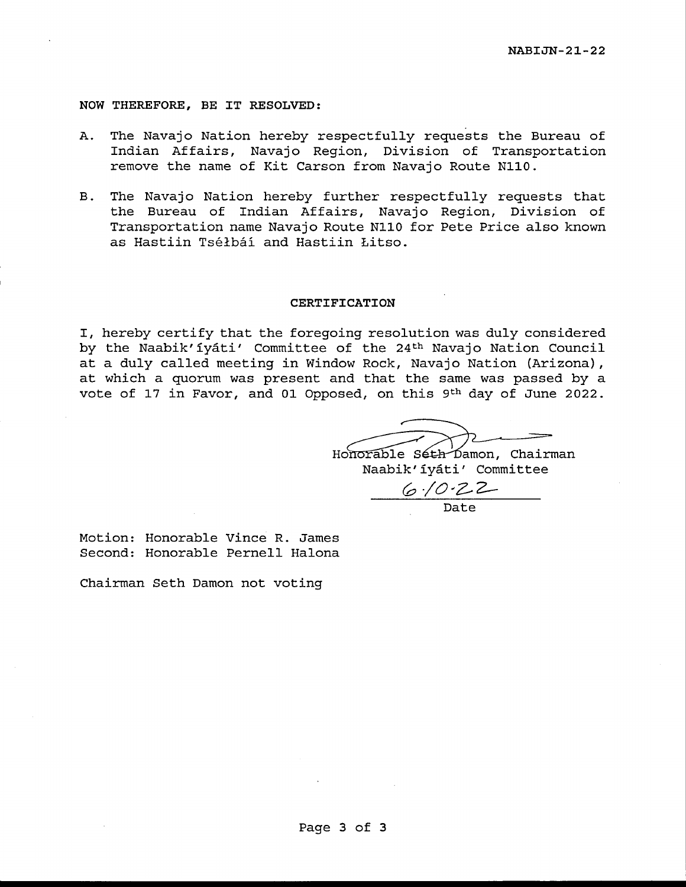**NOW THEREFORE, BE IT RESOLVED:** 

- A. The Navajo Nation hereby respectfully requests the Bureau of Indian Affairs, Navajo Region, Division of Transportation remove the name of Kit Carson from Navajo Route Nll0.
- B. The Navajo Nation hereby further respectfully requests that the Bureau of Indian Affairs, Navajo Region, Division of Transportation name Navajo Route Nll0 for Pete Price also known as Hastiin Tselbai and Hastiin Litso.

#### **CERTIFICATION**

I, hereby certify that the foregoing resolution was duly considered by the Naabik'iyáti' Committee of the 24<sup>th</sup> Navajo Nation Council at a duly called meeting in Window Rock, Navajo Nation (Arizona), at which a quorum was present and that the same was passed by a vote of 17 in Favor, and 01 Opposed, on this 9th day of June 2022.

Honorable Séth Damon, Chairman Naabik'iyati' Committee

*C:,-/0.,2-2-* Date

Motion: Honorable Vince R. James Second: Honorable Pernell Halona

Chairman Seth Damon not voting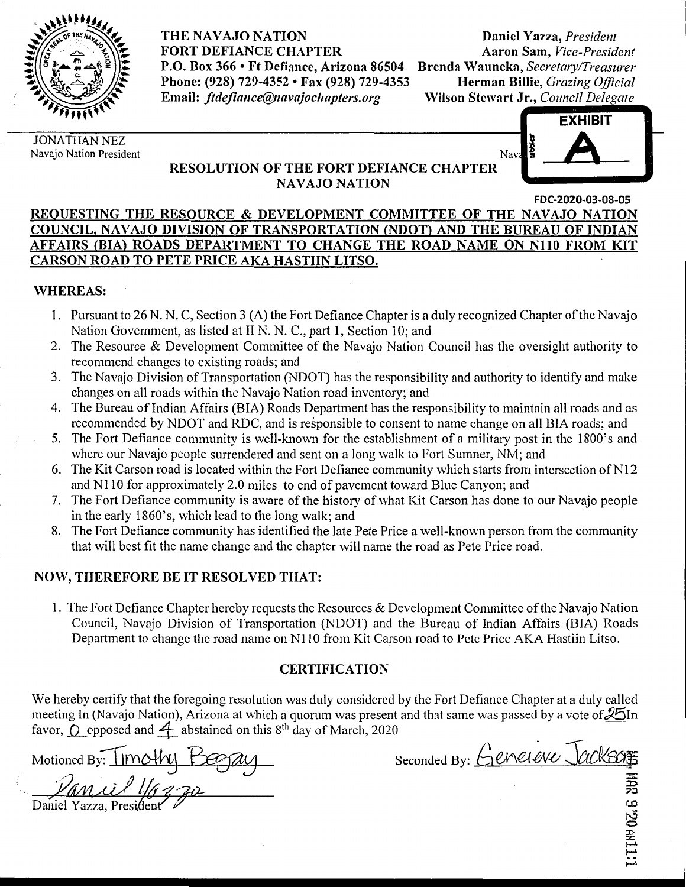

**THE NAVAJO NATION FORT DEFIANCE CHAPTER P.O. Box 366** • **Ft Defiance, Arizona 86504 Phone: (928) 729-4352** • **Fax (928) 729-4353**  Email: *ftdefiance@navajochapters.org* 

**Daniel Y azza,** *President*  **Aaron Sam,** *Vice-President*  **Brenda Wauneka,** *Secretary/Treasurer*  **Herman Billie,** *Grazing Official*  **Wilson Stewart Jr.,** *Council Delegate* 

JONATHAN NEZ Navajo Nation President



### **RESOLUTION OF THE FORT DEFIANCE CHAPTER NAVAJO NATION**

**FDC-2020-03-08-0S** 

### **REQUESTING THE RESOURCE** & **DEVELOPMENT COMMITTEE OF THE NAVAJO NATION COUNCIL, NAVAJO DIVISION OF TRANSPORTATION {NDOT) AND THE BUREAU OF INDIAN**  AFFAIRS (BIA) ROADS DEPARTMENT TO CHANGE THE ROAD NAME ON N110 FROM KIT **CARSON ROAD TO PETE PRICE AKA HASTIIN LITSO.**

## **WHEREAS:**

- I. Pursuant to 26 N. N. C, Section 3 (A) the Fort Defiance Chapter is a duly recognized Chapter of the Navajo Nation Government, as listed at II N. N. C., part I, Section 10; and
- 2. The Resource & Development Committee of the Navajo Nation Council has the oversight authority to recommend changes to existing roads; and
- 3. The Navajo Division of Transportation (NDOT) has the responsibility and authority to identify and make changes on all roads within the Navajo Nation road inventory; and
- 4. The Bureau of Indian Affairs (BIA) Roads Department has the responsibility to maintain all roads and as recommended by NDOT and RDC, and is responsible to consent to name change on all BIA roads; and
- 5. The Fort Defiance community is well-known for the establishment of a military post in the l 800's and where our Navajo people surrendered and sent on a long walk to Fort Sumner, NM; and
- 6. The Kit Carson road is located within the Fort Defiance community which starts from intersection of N12 and NI 10 for approximately 2.0 miles to end of pavement toward Blue Canyon; and
- 7. The Fort Defiance community is aware of the history of what Kit Carson has done to our Navajo people in the early 1860's, which lead to the long walk; and
- 8. The Fort Defiance community has identified the late Pete Price a well-known person from the community that will best fit the name change and the chapter will name the road as Pete Price road.

# **NOW, THEREFORE BE IT RESOLVED THAT:**

1. The Fort Defiance Chapter hereby requests the Resources & Development Committee of the Navajo Nation Council, Navajo Division of Transportation (NDOT) and the Bureau of Indian Affairs (BIA) Roads Department to change the road name on Nl 10 from Kit Carson road to Pete Price AKA Hastiin Litso.

## **CERTIFICATION**

We hereby certify that the foregoing resolution was duly considered by the Fort Defiance Chapter at a duly called meeting In (Navajo Nation), Arizona at which a quorum was present and that same was passed by a vote of  $\mathcal{Z}$ In favor,  $\overline{O}$  opposed and  $\overline{4}$  abstained on this 8<sup>th</sup> day of March, 2020 meeting In (Navajo Nation), Arizona at which a quorum was present and that same was passed by a vote of 201h<br>favor, O opposed and 4 abstained on this 8<sup>th</sup> day of March, 2020<br>Motioned By:  $\frac{\text{VUNU}}{\text{MOM}}$ <br>Seconded By:  $\frac$ 

 $\frac{\partial u}{\partial \theta}$   $\frac{\partial u}{\partial \theta}$   $\frac{\partial u}{\partial \theta}$ 

I I NU OZ,

,...~